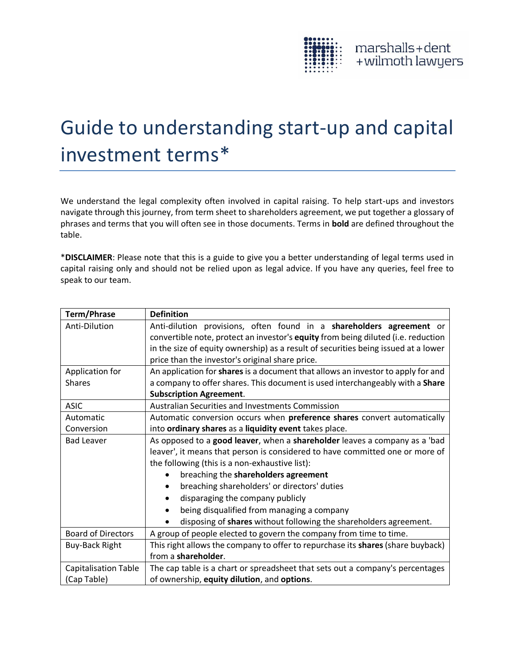

## Guide to understanding start-up and capital investment terms\*

We understand the legal complexity often involved in capital raising. To help start-ups and investors navigate through this journey, from term sheet to shareholders agreement, we put together a glossary of phrases and terms that you will often see in those documents. Terms in **bold** are defined throughout the table.

\***DISCLAIMER**: Please note that this is a guide to give you a better understanding of legal terms used in capital raising only and should not be relied upon as legal advice. If you have any queries, feel free to speak to our team.

| <b>Term/Phrase</b>          | <b>Definition</b>                                                                  |
|-----------------------------|------------------------------------------------------------------------------------|
| Anti-Dilution               | Anti-dilution provisions, often found in a shareholders agreement or               |
|                             | convertible note, protect an investor's equity from being diluted (i.e. reduction  |
|                             | in the size of equity ownership) as a result of securities being issued at a lower |
|                             | price than the investor's original share price.                                    |
| Application for             | An application for shares is a document that allows an investor to apply for and   |
| <b>Shares</b>               | a company to offer shares. This document is used interchangeably with a Share      |
|                             | <b>Subscription Agreement.</b>                                                     |
| <b>ASIC</b>                 | <b>Australian Securities and Investments Commission</b>                            |
| Automatic                   | Automatic conversion occurs when preference shares convert automatically           |
| Conversion                  | into ordinary shares as a liquidity event takes place.                             |
| <b>Bad Leaver</b>           | As opposed to a good leaver, when a shareholder leaves a company as a 'bad         |
|                             | leaver', it means that person is considered to have committed one or more of       |
|                             | the following (this is a non-exhaustive list):                                     |
|                             | breaching the shareholders agreement                                               |
|                             | breaching shareholders' or directors' duties                                       |
|                             | disparaging the company publicly                                                   |
|                             | being disqualified from managing a company                                         |
|                             | disposing of shares without following the shareholders agreement.                  |
| <b>Board of Directors</b>   | A group of people elected to govern the company from time to time.                 |
| <b>Buy-Back Right</b>       | This right allows the company to offer to repurchase its shares (share buyback)    |
|                             | from a shareholder.                                                                |
| <b>Capitalisation Table</b> | The cap table is a chart or spreadsheet that sets out a company's percentages      |
| (Cap Table)                 | of ownership, equity dilution, and options.                                        |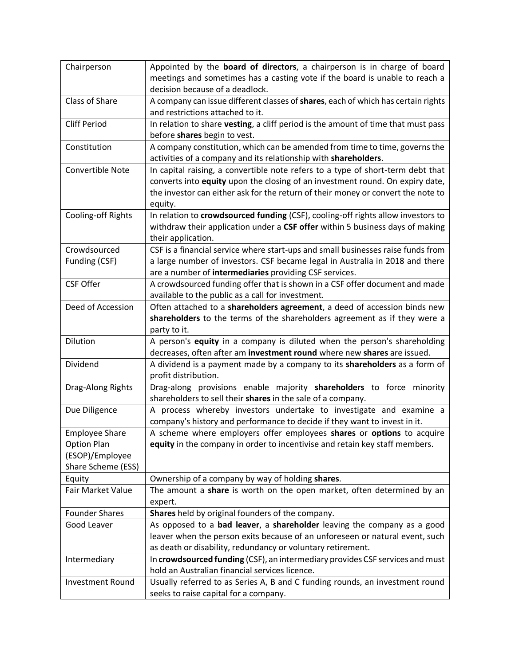| Chairperson             | Appointed by the board of directors, a chairperson is in charge of board                                                       |
|-------------------------|--------------------------------------------------------------------------------------------------------------------------------|
|                         | meetings and sometimes has a casting vote if the board is unable to reach a                                                    |
|                         | decision because of a deadlock.                                                                                                |
| Class of Share          | A company can issue different classes of shares, each of which has certain rights                                              |
|                         | and restrictions attached to it.                                                                                               |
| <b>Cliff Period</b>     | In relation to share vesting, a cliff period is the amount of time that must pass                                              |
|                         | before shares begin to vest.                                                                                                   |
| Constitution            | A company constitution, which can be amended from time to time, governs the                                                    |
|                         | activities of a company and its relationship with shareholders.                                                                |
| Convertible Note        | In capital raising, a convertible note refers to a type of short-term debt that                                                |
|                         | converts into equity upon the closing of an investment round. On expiry date,                                                  |
|                         | the investor can either ask for the return of their money or convert the note to                                               |
|                         | equity.                                                                                                                        |
| Cooling-off Rights      | In relation to crowdsourced funding (CSF), cooling-off rights allow investors to                                               |
|                         | withdraw their application under a CSF offer within 5 business days of making                                                  |
|                         | their application.                                                                                                             |
| Crowdsourced            | CSF is a financial service where start-ups and small businesses raise funds from                                               |
| Funding (CSF)           | a large number of investors. CSF became legal in Australia in 2018 and there                                                   |
|                         | are a number of intermediaries providing CSF services.                                                                         |
| <b>CSF Offer</b>        | A crowdsourced funding offer that is shown in a CSF offer document and made                                                    |
|                         | available to the public as a call for investment.                                                                              |
| Deed of Accession       | Often attached to a shareholders agreement, a deed of accession binds new                                                      |
|                         | shareholders to the terms of the shareholders agreement as if they were a                                                      |
|                         | party to it.                                                                                                                   |
| Dilution                | A person's equity in a company is diluted when the person's shareholding                                                       |
|                         | decreases, often after am investment round where new shares are issued.                                                        |
| Dividend                | A dividend is a payment made by a company to its shareholders as a form of                                                     |
|                         | profit distribution.                                                                                                           |
| Drag-Along Rights       | Drag-along provisions enable majority shareholders to force minority                                                           |
|                         | shareholders to sell their shares in the sale of a company.                                                                    |
| Due Diligence           | A process whereby investors undertake to investigate and examine a                                                             |
|                         | company's history and performance to decide if they want to invest in it.                                                      |
| <b>Employee Share</b>   | A scheme where employers offer employees shares or options to acquire                                                          |
| <b>Option Plan</b>      | equity in the company in order to incentivise and retain key staff members.                                                    |
| (ESOP)/Employee         |                                                                                                                                |
| Share Scheme (ESS)      |                                                                                                                                |
| Equity                  | Ownership of a company by way of holding shares.                                                                               |
| Fair Market Value       | The amount a share is worth on the open market, often determined by an                                                         |
|                         | expert.                                                                                                                        |
| <b>Founder Shares</b>   | Shares held by original founders of the company.                                                                               |
| Good Leaver             | As opposed to a bad leaver, a shareholder leaving the company as a good                                                        |
|                         | leaver when the person exits because of an unforeseen or natural event, such                                                   |
|                         | as death or disability, redundancy or voluntary retirement.                                                                    |
| Intermediary            | In crowdsourced funding (CSF), an intermediary provides CSF services and must                                                  |
|                         |                                                                                                                                |
|                         |                                                                                                                                |
| <b>Investment Round</b> | hold an Australian financial services licence.<br>Usually referred to as Series A, B and C funding rounds, an investment round |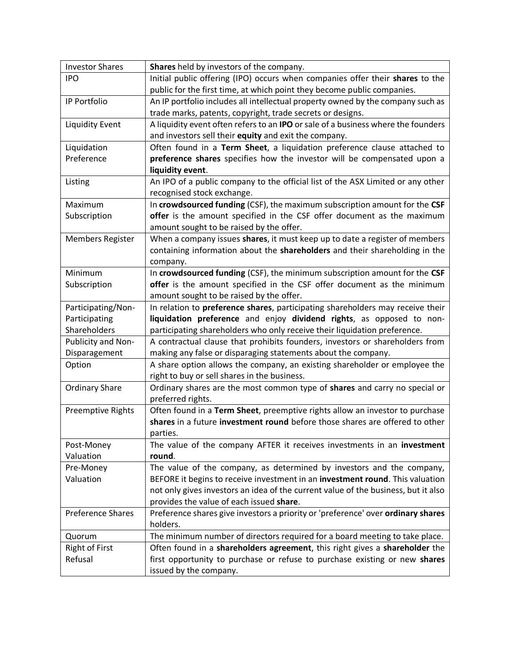| <b>Investor Shares</b>   | Shares held by investors of the company.                                           |
|--------------------------|------------------------------------------------------------------------------------|
| <b>IPO</b>               | Initial public offering (IPO) occurs when companies offer their shares to the      |
|                          | public for the first time, at which point they become public companies.            |
| IP Portfolio             | An IP portfolio includes all intellectual property owned by the company such as    |
|                          | trade marks, patents, copyright, trade secrets or designs.                         |
| <b>Liquidity Event</b>   | A liquidity event often refers to an IPO or sale of a business where the founders  |
|                          | and investors sell their equity and exit the company.                              |
| Liquidation              | Often found in a Term Sheet, a liquidation preference clause attached to           |
| Preference               | preference shares specifies how the investor will be compensated upon a            |
|                          | liquidity event.                                                                   |
| Listing                  | An IPO of a public company to the official list of the ASX Limited or any other    |
|                          | recognised stock exchange.                                                         |
| Maximum                  | In crowdsourced funding (CSF), the maximum subscription amount for the CSF         |
| Subscription             | offer is the amount specified in the CSF offer document as the maximum             |
|                          | amount sought to be raised by the offer.                                           |
| <b>Members Register</b>  | When a company issues shares, it must keep up to date a register of members        |
|                          | containing information about the shareholders and their shareholding in the        |
|                          | company.                                                                           |
| Minimum                  | In crowdsourced funding (CSF), the minimum subscription amount for the CSF         |
| Subscription             | offer is the amount specified in the CSF offer document as the minimum             |
|                          | amount sought to be raised by the offer.                                           |
| Participating/Non-       | In relation to preference shares, participating shareholders may receive their     |
| Participating            | liquidation preference and enjoy dividend rights, as opposed to non-               |
| Shareholders             | participating shareholders who only receive their liquidation preference.          |
| Publicity and Non-       | A contractual clause that prohibits founders, investors or shareholders from       |
| Disparagement            | making any false or disparaging statements about the company.                      |
| Option                   | A share option allows the company, an existing shareholder or employee the         |
|                          | right to buy or sell shares in the business.                                       |
| <b>Ordinary Share</b>    | Ordinary shares are the most common type of shares and carry no special or         |
|                          | preferred rights.                                                                  |
| <b>Preemptive Rights</b> | Often found in a Term Sheet, preemptive rights allow an investor to purchase       |
|                          | shares in a future investment round before those shares are offered to other       |
|                          | parties.                                                                           |
| Post-Money               | The value of the company AFTER it receives investments in an investment            |
| Valuation                | round.                                                                             |
| Pre-Money                | The value of the company, as determined by investors and the company,              |
| Valuation                | BEFORE it begins to receive investment in an investment round. This valuation      |
|                          | not only gives investors an idea of the current value of the business, but it also |
|                          | provides the value of each issued share.                                           |
| <b>Preference Shares</b> | Preference shares give investors a priority or 'preference' over ordinary shares   |
|                          | holders.                                                                           |
| Quorum                   | The minimum number of directors required for a board meeting to take place.        |
| <b>Right of First</b>    | Often found in a shareholders agreement, this right gives a shareholder the        |
| Refusal                  | first opportunity to purchase or refuse to purchase existing or new shares         |
|                          | issued by the company.                                                             |